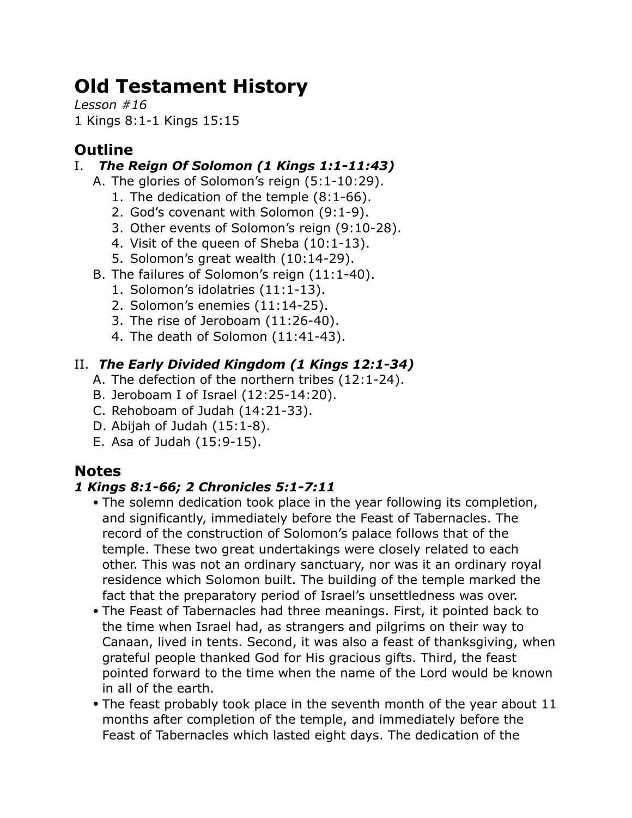# **Old Testament History**

*Lesson #16* 1 Kings 8:1-1 Kings 15:15

# **Outline**

# I. *The Reign Of Solomon (1 Kings 1:1-11:43)*

- A. The glories of Solomon's reign (5:1-10:29).
	- 1. The dedication of the temple (8:1-66).
	- 2. God's covenant with Solomon (9:1-9).
	- 3. Other events of Solomon's reign (9:10-28).
	- 4. Visit of the queen of Sheba (10:1-13).
	- 5. Solomon's great wealth (10:14-29).
- B. The failures of Solomon's reign (11:1-40).
	- 1. Solomon's idolatries (11:1-13).
	- 2. Solomon's enemies (11:14-25).
	- 3. The rise of Jeroboam (11:26-40).
	- 4. The death of Solomon (11:41-43).

# II. *The Early Divided Kingdom (1 Kings 12:1-34)*

- A. The defection of the northern tribes (12:1-24).
- B. Jeroboam I of Israel (12:25-14:20).
- C. Rehoboam of Judah (14:21-33).
- D. Abijah of Judah (15:1-8).
- E. Asa of Judah (15:9-15).

# **Notes**

## *1 Kings 8:1-66; 2 Chronicles 5:1-7:11*

- The solemn dedication took place in the year following its completion, and significantly, immediately before the Feast of Tabernacles. The record of the construction of Solomon's palace follows that of the temple. These two great undertakings were closely related to each other. This was not an ordinary sanctuary, nor was it an ordinary royal residence which Solomon built. The building of the temple marked the fact that the preparatory period of Israel's unsettledness was over.
- The Feast of Tabernacles had three meanings. First, it pointed back to the time when Israel had, as strangers and pilgrims on their way to Canaan, lived in tents. Second, it was also a feast of thanksgiving, when grateful people thanked God for His gracious gifts. Third, the feast pointed forward to the time when the name of the Lord would be known in all of the earth.
- The feast probably took place in the seventh month of the year about 11 months after completion of the temple, and immediately before the Feast of Tabernacles which lasted eight days. The dedication of the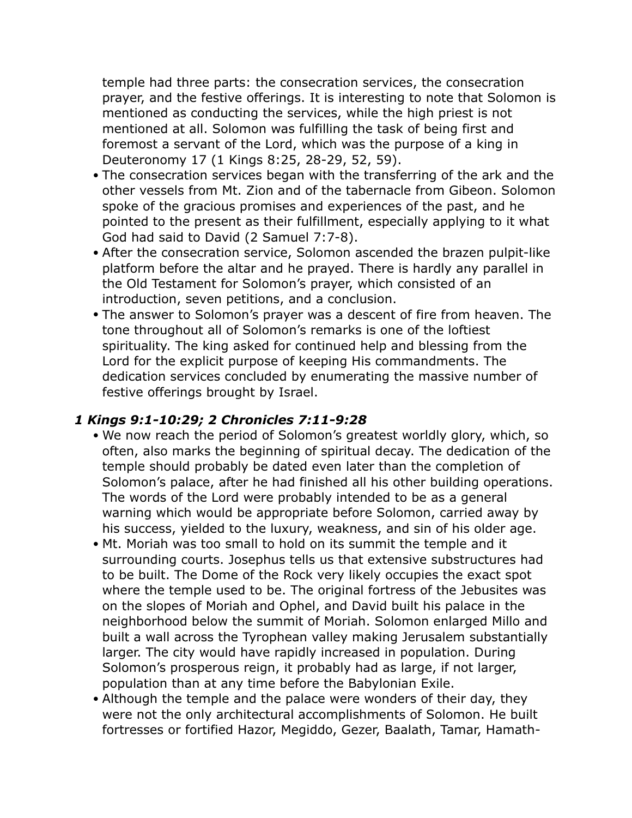temple had three parts: the consecration services, the consecration prayer, and the festive offerings. It is interesting to note that Solomon is mentioned as conducting the services, while the high priest is not mentioned at all. Solomon was fulfilling the task of being first and foremost a servant of the Lord, which was the purpose of a king in Deuteronomy 17 (1 Kings 8:25, 28-29, 52, 59).

- The consecration services began with the transferring of the ark and the other vessels from Mt. Zion and of the tabernacle from Gibeon. Solomon spoke of the gracious promises and experiences of the past, and he pointed to the present as their fulfillment, especially applying to it what God had said to David (2 Samuel 7:7-8).
- After the consecration service, Solomon ascended the brazen pulpit-like platform before the altar and he prayed. There is hardly any parallel in the Old Testament for Solomon's prayer, which consisted of an introduction, seven petitions, and a conclusion.
- The answer to Solomon's prayer was a descent of fire from heaven. The tone throughout all of Solomon's remarks is one of the loftiest spirituality. The king asked for continued help and blessing from the Lord for the explicit purpose of keeping His commandments. The dedication services concluded by enumerating the massive number of festive offerings brought by Israel.

#### *1 Kings 9:1-10:29; 2 Chronicles 7:11-9:28*

- We now reach the period of Solomon's greatest worldly glory, which, so often, also marks the beginning of spiritual decay. The dedication of the temple should probably be dated even later than the completion of Solomon's palace, after he had finished all his other building operations. The words of the Lord were probably intended to be as a general warning which would be appropriate before Solomon, carried away by his success, yielded to the luxury, weakness, and sin of his older age.
- Mt. Moriah was too small to hold on its summit the temple and it surrounding courts. Josephus tells us that extensive substructures had to be built. The Dome of the Rock very likely occupies the exact spot where the temple used to be. The original fortress of the Jebusites was on the slopes of Moriah and Ophel, and David built his palace in the neighborhood below the summit of Moriah. Solomon enlarged Millo and built a wall across the Tyrophean valley making Jerusalem substantially larger. The city would have rapidly increased in population. During Solomon's prosperous reign, it probably had as large, if not larger, population than at any time before the Babylonian Exile.
- Although the temple and the palace were wonders of their day, they were not the only architectural accomplishments of Solomon. He built fortresses or fortified Hazor, Megiddo, Gezer, Baalath, Tamar, Hamath-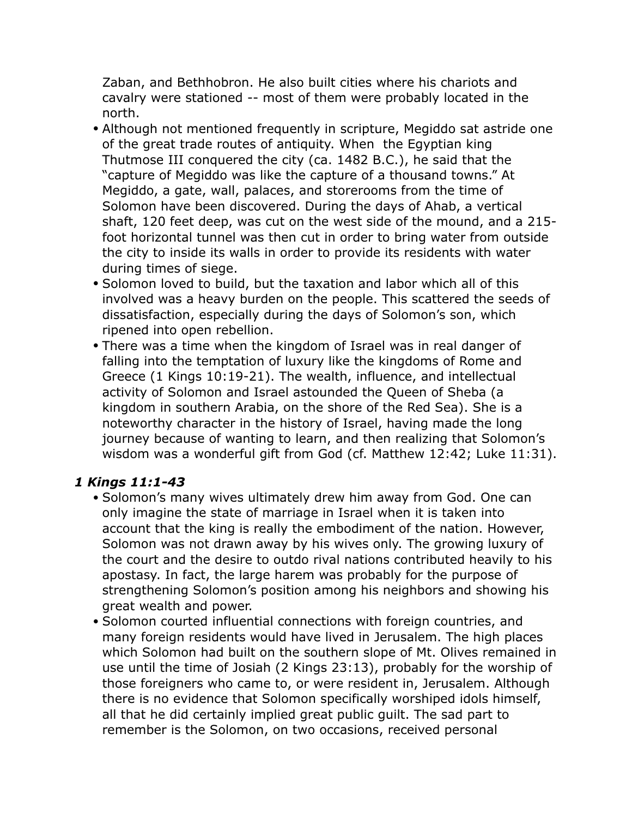Zaban, and Bethhobron. He also built cities where his chariots and cavalry were stationed -- most of them were probably located in the north.

- Although not mentioned frequently in scripture, Megiddo sat astride one of the great trade routes of antiquity. When the Egyptian king Thutmose III conquered the city (ca. 1482 B.C.), he said that the "capture of Megiddo was like the capture of a thousand towns." At Megiddo, a gate, wall, palaces, and storerooms from the time of Solomon have been discovered. During the days of Ahab, a vertical shaft, 120 feet deep, was cut on the west side of the mound, and a 215 foot horizontal tunnel was then cut in order to bring water from outside the city to inside its walls in order to provide its residents with water during times of siege.
- Solomon loved to build, but the taxation and labor which all of this involved was a heavy burden on the people. This scattered the seeds of dissatisfaction, especially during the days of Solomon's son, which ripened into open rebellion.
- There was a time when the kingdom of Israel was in real danger of falling into the temptation of luxury like the kingdoms of Rome and Greece (1 Kings 10:19-21). The wealth, influence, and intellectual activity of Solomon and Israel astounded the Queen of Sheba (a kingdom in southern Arabia, on the shore of the Red Sea). She is a noteworthy character in the history of Israel, having made the long journey because of wanting to learn, and then realizing that Solomon's wisdom was a wonderful gift from God (cf. Matthew 12:42; Luke 11:31).

## *1 Kings 11:1-43*

- Solomon's many wives ultimately drew him away from God. One can only imagine the state of marriage in Israel when it is taken into account that the king is really the embodiment of the nation. However, Solomon was not drawn away by his wives only. The growing luxury of the court and the desire to outdo rival nations contributed heavily to his apostasy. In fact, the large harem was probably for the purpose of strengthening Solomon's position among his neighbors and showing his great wealth and power.
- Solomon courted influential connections with foreign countries, and many foreign residents would have lived in Jerusalem. The high places which Solomon had built on the southern slope of Mt. Olives remained in use until the time of Josiah (2 Kings 23:13), probably for the worship of those foreigners who came to, or were resident in, Jerusalem. Although there is no evidence that Solomon specifically worshiped idols himself, all that he did certainly implied great public guilt. The sad part to remember is the Solomon, on two occasions, received personal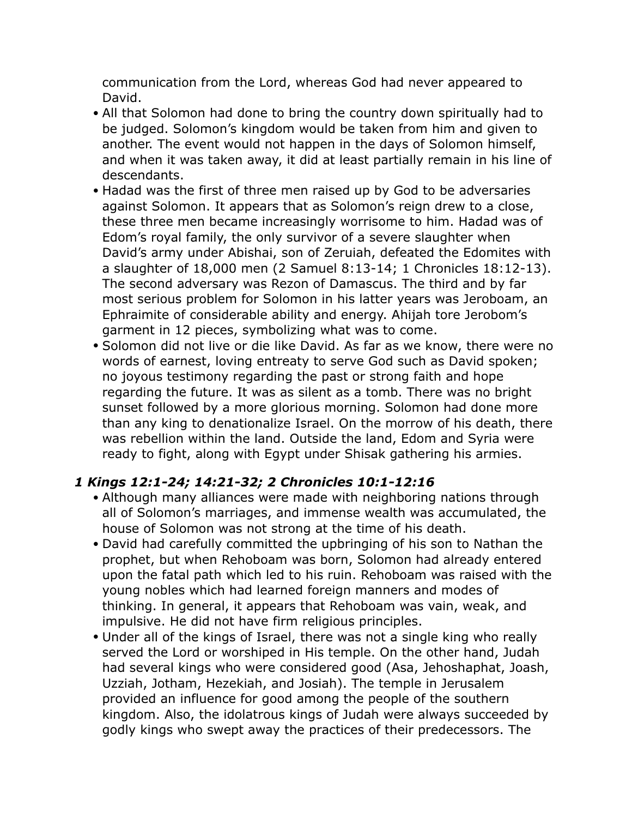communication from the Lord, whereas God had never appeared to David.

- All that Solomon had done to bring the country down spiritually had to be judged. Solomon's kingdom would be taken from him and given to another. The event would not happen in the days of Solomon himself, and when it was taken away, it did at least partially remain in his line of descendants.
- Hadad was the first of three men raised up by God to be adversaries against Solomon. It appears that as Solomon's reign drew to a close, these three men became increasingly worrisome to him. Hadad was of Edom's royal family, the only survivor of a severe slaughter when David's army under Abishai, son of Zeruiah, defeated the Edomites with a slaughter of 18,000 men (2 Samuel 8:13-14; 1 Chronicles 18:12-13). The second adversary was Rezon of Damascus. The third and by far most serious problem for Solomon in his latter years was Jeroboam, an Ephraimite of considerable ability and energy. Ahijah tore Jerobom's garment in 12 pieces, symbolizing what was to come.
- Solomon did not live or die like David. As far as we know, there were no words of earnest, loving entreaty to serve God such as David spoken; no joyous testimony regarding the past or strong faith and hope regarding the future. It was as silent as a tomb. There was no bright sunset followed by a more glorious morning. Solomon had done more than any king to denationalize Israel. On the morrow of his death, there was rebellion within the land. Outside the land, Edom and Syria were ready to fight, along with Egypt under Shisak gathering his armies.

## *1 Kings 12:1-24; 14:21-32; 2 Chronicles 10:1-12:16*

- Although many alliances were made with neighboring nations through all of Solomon's marriages, and immense wealth was accumulated, the house of Solomon was not strong at the time of his death.
- David had carefully committed the upbringing of his son to Nathan the prophet, but when Rehoboam was born, Solomon had already entered upon the fatal path which led to his ruin. Rehoboam was raised with the young nobles which had learned foreign manners and modes of thinking. In general, it appears that Rehoboam was vain, weak, and impulsive. He did not have firm religious principles.
- Under all of the kings of Israel, there was not a single king who really served the Lord or worshiped in His temple. On the other hand, Judah had several kings who were considered good (Asa, Jehoshaphat, Joash, Uzziah, Jotham, Hezekiah, and Josiah). The temple in Jerusalem provided an influence for good among the people of the southern kingdom. Also, the idolatrous kings of Judah were always succeeded by godly kings who swept away the practices of their predecessors. The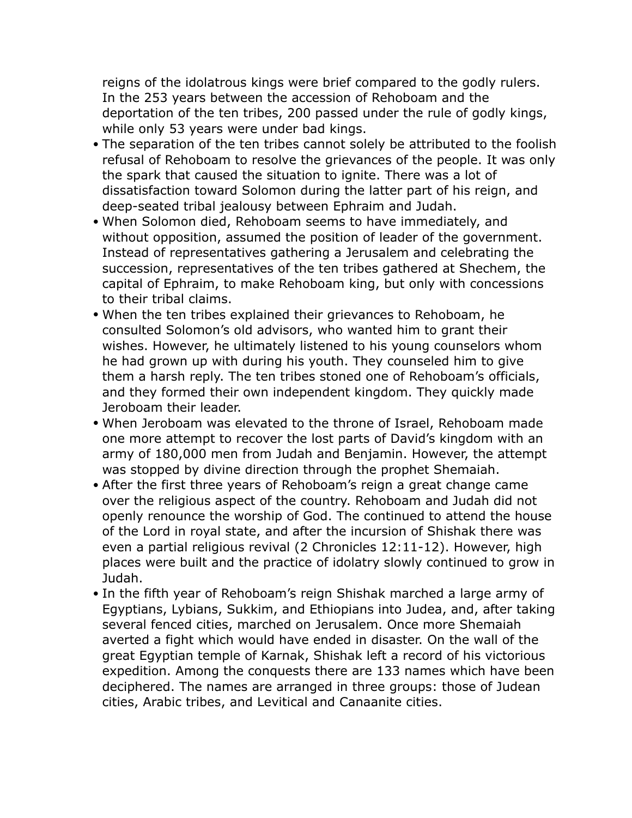reigns of the idolatrous kings were brief compared to the godly rulers. In the 253 years between the accession of Rehoboam and the deportation of the ten tribes, 200 passed under the rule of godly kings, while only 53 years were under bad kings.

- The separation of the ten tribes cannot solely be attributed to the foolish refusal of Rehoboam to resolve the grievances of the people. It was only the spark that caused the situation to ignite. There was a lot of dissatisfaction toward Solomon during the latter part of his reign, and deep-seated tribal jealousy between Ephraim and Judah.
- When Solomon died, Rehoboam seems to have immediately, and without opposition, assumed the position of leader of the government. Instead of representatives gathering a Jerusalem and celebrating the succession, representatives of the ten tribes gathered at Shechem, the capital of Ephraim, to make Rehoboam king, but only with concessions to their tribal claims.
- When the ten tribes explained their grievances to Rehoboam, he consulted Solomon's old advisors, who wanted him to grant their wishes. However, he ultimately listened to his young counselors whom he had grown up with during his youth. They counseled him to give them a harsh reply. The ten tribes stoned one of Rehoboam's officials, and they formed their own independent kingdom. They quickly made Jeroboam their leader.
- When Jeroboam was elevated to the throne of Israel, Rehoboam made one more attempt to recover the lost parts of David's kingdom with an army of 180,000 men from Judah and Benjamin. However, the attempt was stopped by divine direction through the prophet Shemaiah.
- After the first three years of Rehoboam's reign a great change came over the religious aspect of the country. Rehoboam and Judah did not openly renounce the worship of God. The continued to attend the house of the Lord in royal state, and after the incursion of Shishak there was even a partial religious revival (2 Chronicles 12:11-12). However, high places were built and the practice of idolatry slowly continued to grow in Judah.
- In the fifth year of Rehoboam's reign Shishak marched a large army of Egyptians, Lybians, Sukkim, and Ethiopians into Judea, and, after taking several fenced cities, marched on Jerusalem. Once more Shemaiah averted a fight which would have ended in disaster. On the wall of the great Egyptian temple of Karnak, Shishak left a record of his victorious expedition. Among the conquests there are 133 names which have been deciphered. The names are arranged in three groups: those of Judean cities, Arabic tribes, and Levitical and Canaanite cities.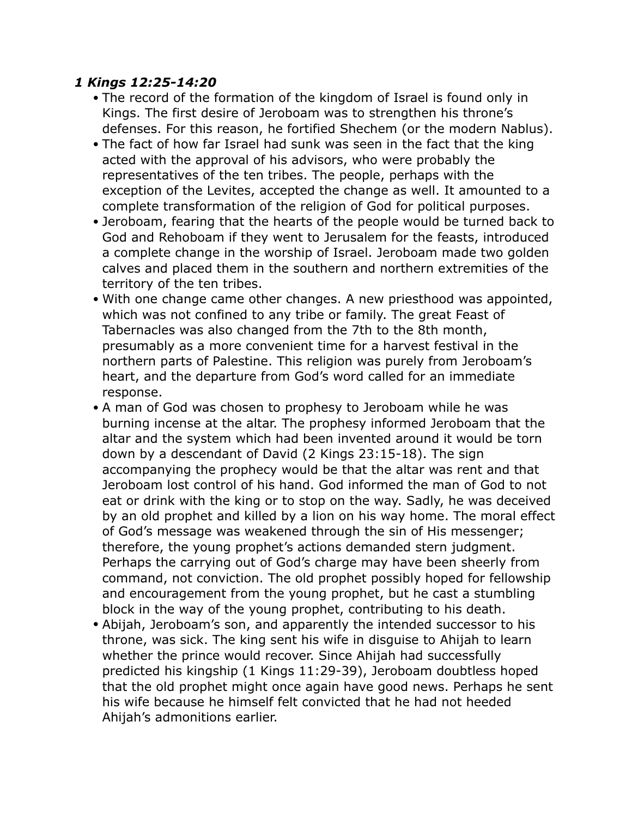#### *1 Kings 12:25-14:20*

- The record of the formation of the kingdom of Israel is found only in Kings. The first desire of Jeroboam was to strengthen his throne's defenses. For this reason, he fortified Shechem (or the modern Nablus).
- The fact of how far Israel had sunk was seen in the fact that the king acted with the approval of his advisors, who were probably the representatives of the ten tribes. The people, perhaps with the exception of the Levites, accepted the change as well. It amounted to a complete transformation of the religion of God for political purposes.
- Jeroboam, fearing that the hearts of the people would be turned back to God and Rehoboam if they went to Jerusalem for the feasts, introduced a complete change in the worship of Israel. Jeroboam made two golden calves and placed them in the southern and northern extremities of the territory of the ten tribes.
- With one change came other changes. A new priesthood was appointed, which was not confined to any tribe or family. The great Feast of Tabernacles was also changed from the 7th to the 8th month, presumably as a more convenient time for a harvest festival in the northern parts of Palestine. This religion was purely from Jeroboam's heart, and the departure from God's word called for an immediate response.
- A man of God was chosen to prophesy to Jeroboam while he was burning incense at the altar. The prophesy informed Jeroboam that the altar and the system which had been invented around it would be torn down by a descendant of David (2 Kings 23:15-18). The sign accompanying the prophecy would be that the altar was rent and that Jeroboam lost control of his hand. God informed the man of God to not eat or drink with the king or to stop on the way. Sadly, he was deceived by an old prophet and killed by a lion on his way home. The moral effect of God's message was weakened through the sin of His messenger; therefore, the young prophet's actions demanded stern judgment. Perhaps the carrying out of God's charge may have been sheerly from command, not conviction. The old prophet possibly hoped for fellowship and encouragement from the young prophet, but he cast a stumbling block in the way of the young prophet, contributing to his death.
- Abijah, Jeroboam's son, and apparently the intended successor to his throne, was sick. The king sent his wife in disguise to Ahijah to learn whether the prince would recover. Since Ahijah had successfully predicted his kingship (1 Kings 11:29-39), Jeroboam doubtless hoped that the old prophet might once again have good news. Perhaps he sent his wife because he himself felt convicted that he had not heeded Ahijah's admonitions earlier.